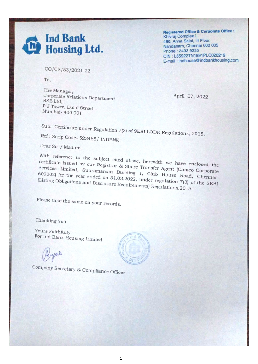## **Ind Bank** 価 **Housing Ltd.**

**Registered Office & Corporate Office :** Khivraj Complex I, 480, Anna Salai, III Floor, Nandanam, Chennai 600 035 Phone: 2432 9235 CIN: L65922TN1991PLC020219 E-mail: indhouse@indbankhousing.com

CO/CS/53/2021-22

To,

The Manager, Corporate Relations Department BSE Ltd, P J Tower, Dalal Street Mumbai- 400 001

April 07, 2022

Sub: Certificate under Regulation 7(3) of SEBI LODR Regulations, 2015.

Ref: Scrip Code- 523465/ INDBNK

Dear Sir / Madam,

With reference to the subject cited above, herewith we have enclosed the certiflcate issued by Our Registrar & Share Transfer Agent (Cameo Corporate Services Limited, Subramanian Building 1, Club House Road, Chennai- $6000$ ,  $6000$  for the year ended on 31.03.2022, under regulation  $7(3)$  of the SEB (Compations and Disclosure Requirements) Regulations, 20 15.

Please take the same on your records.

Thanking You

Yours Faithfully For Ind Bank Housing Limited

Company Secretary & Compliance Officer



1